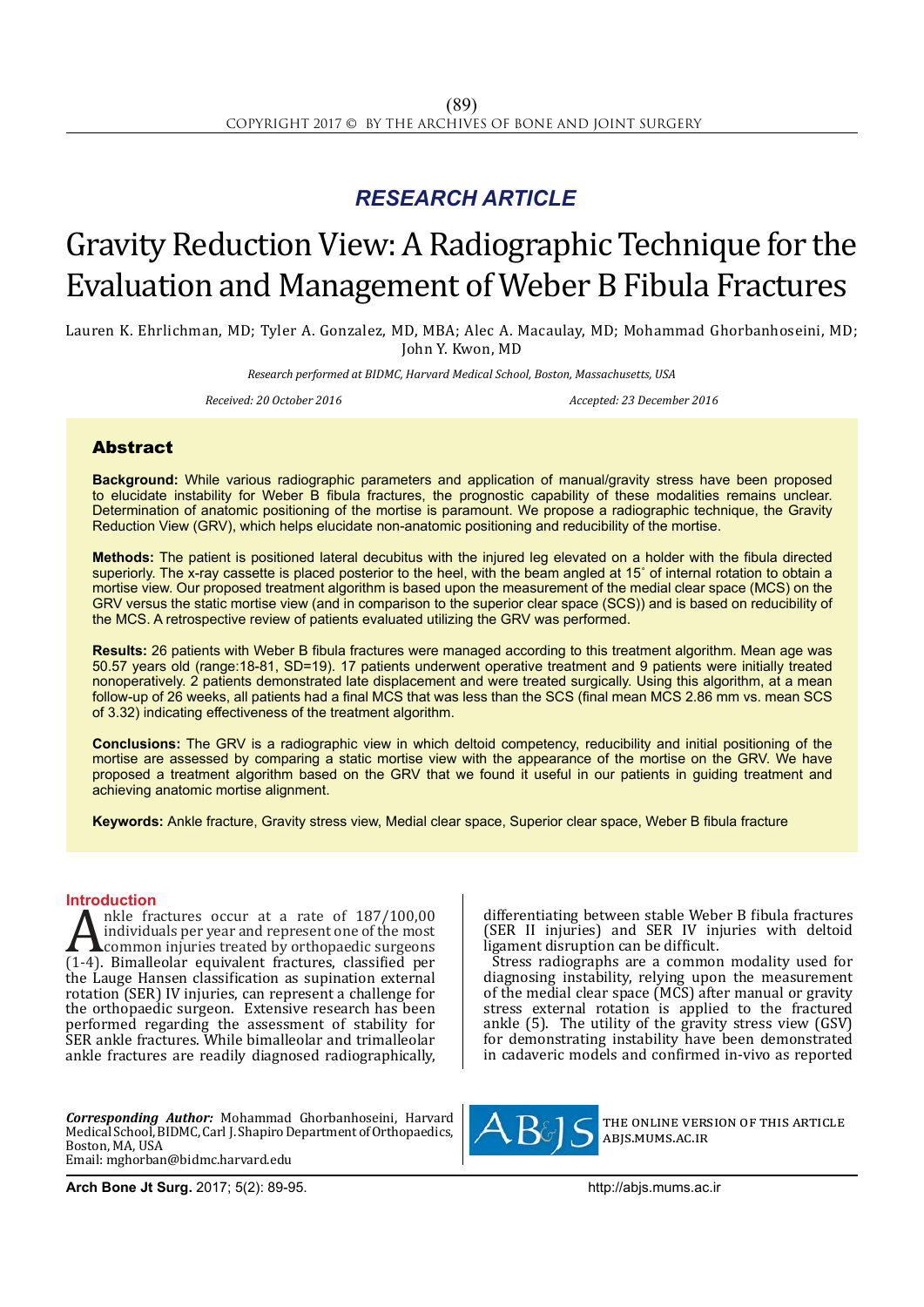## *RESEARCH ARTICLE*

# Gravity Reduction View: A Radiographic Technique for the Evaluation and Management of Weber B Fibula Fractures

Lauren K. Ehrlichman, MD; Tyler A. Gonzalez, MD, MBA; Alec A. Macaulay, MD; Mohammad Ghorbanhoseini, MD; John Y. Kwon, MD

*Research performed at BIDMC, Harvard Medical School, Boston, Massachusetts, USA*

*Received: 20 October 2016 Accepted: 23 December 2016*

### Abstract

**Background:** While various radiographic parameters and application of manual/gravity stress have been proposed to elucidate instability for Weber B fibula fractures, the prognostic capability of these modalities remains unclear. Determination of anatomic positioning of the mortise is paramount. We propose a radiographic technique, the Gravity Reduction View (GRV), which helps elucidate non-anatomic positioning and reducibility of the mortise.

**Methods:** The patient is positioned lateral decubitus with the injured leg elevated on a holder with the fibula directed superiorly. The x-ray cassette is placed posterior to the heel, with the beam angled at 15° of internal rotation to obtain a mortise view. Our proposed treatment algorithm is based upon the measurement of the medial clear space (MCS) on the GRV versus the static mortise view (and in comparison to the superior clear space (SCS)) and is based on reducibility of the MCS. A retrospective review of patients evaluated utilizing the GRV was performed.

**Results:** 26 patients with Weber B fibula fractures were managed according to this treatment algorithm. Mean age was 50.57 years old (range:18-81, SD=19). 17 patients underwent operative treatment and 9 patients were initially treated nonoperatively. 2 patients demonstrated late displacement and were treated surgically. Using this algorithm, at a mean follow-up of 26 weeks, all patients had a final MCS that was less than the SCS (final mean MCS 2.86 mm vs. mean SCS of 3.32) indicating effectiveness of the treatment algorithm.

**Conclusions:** The GRV is a radiographic view in which deltoid competency, reducibility and initial positioning of the mortise are assessed by comparing a static mortise view with the appearance of the mortise on the GRV. We have proposed a treatment algorithm based on the GRV that we found it useful in our patients in guiding treatment and achieving anatomic mortise alignment.

**Keywords:** Ankle fracture, Gravity stress view, Medial clear space, Superior clear space, Weber B fibula fracture

**Introduction**<br>**A** nkle fractures occur at a rate of 187/100,00 A nkle fractures occur at a rate of  $187/100,00$ <br>individuals per year and represent one of the most<br>common injuries treated by orthopaedic surgeons<br> $(1-4)$ . Bimalleolar equivalent fractures, classified per<br>the Lauge Hanse individuals per year and represent one of the most common injuries treated by orthopaedic surgeons (1-4). Bimalleolar equivalent fractures, classified per the Lauge Hansen classification as supination external rotation (SER) IV injuries, can represent a challenge for the orthopaedic surgeon. Extensive research has been performed regarding the assessment of stability for SER ankle fractures. While bimalleolar and trimalleolar ankle fractures are readily diagnosed radiographically,

*Corresponding Author:* Mohammad Ghorbanhoseini, Harvard Medical School, BIDMC, Carl J. Shapiro Department of Orthopaedics, Boston, MA, USA Email: mghorban@bidmc.harvard.edu

differentiating between stable Weber B fibula fractures (SER II injuries) and SER IV injuries with deltoid ligament disruption can be difficult.

Stress radiographs are a common modality used for diagnosing instability, relying upon the measurement of the medial clear space (MCS) after manual or gravity stress external rotation is applied to the fractured ankle (5). The utility of the gravity stress view (GSV) for demonstrating instability have been demonstrated in cadaveric models and confirmed in-vivo as reported



the online version of this article abjs.mums.ac.ir

**Arch Bone Jt Surg.** 2017; 5(2): 89-95.http://abjs.mums.ac.ir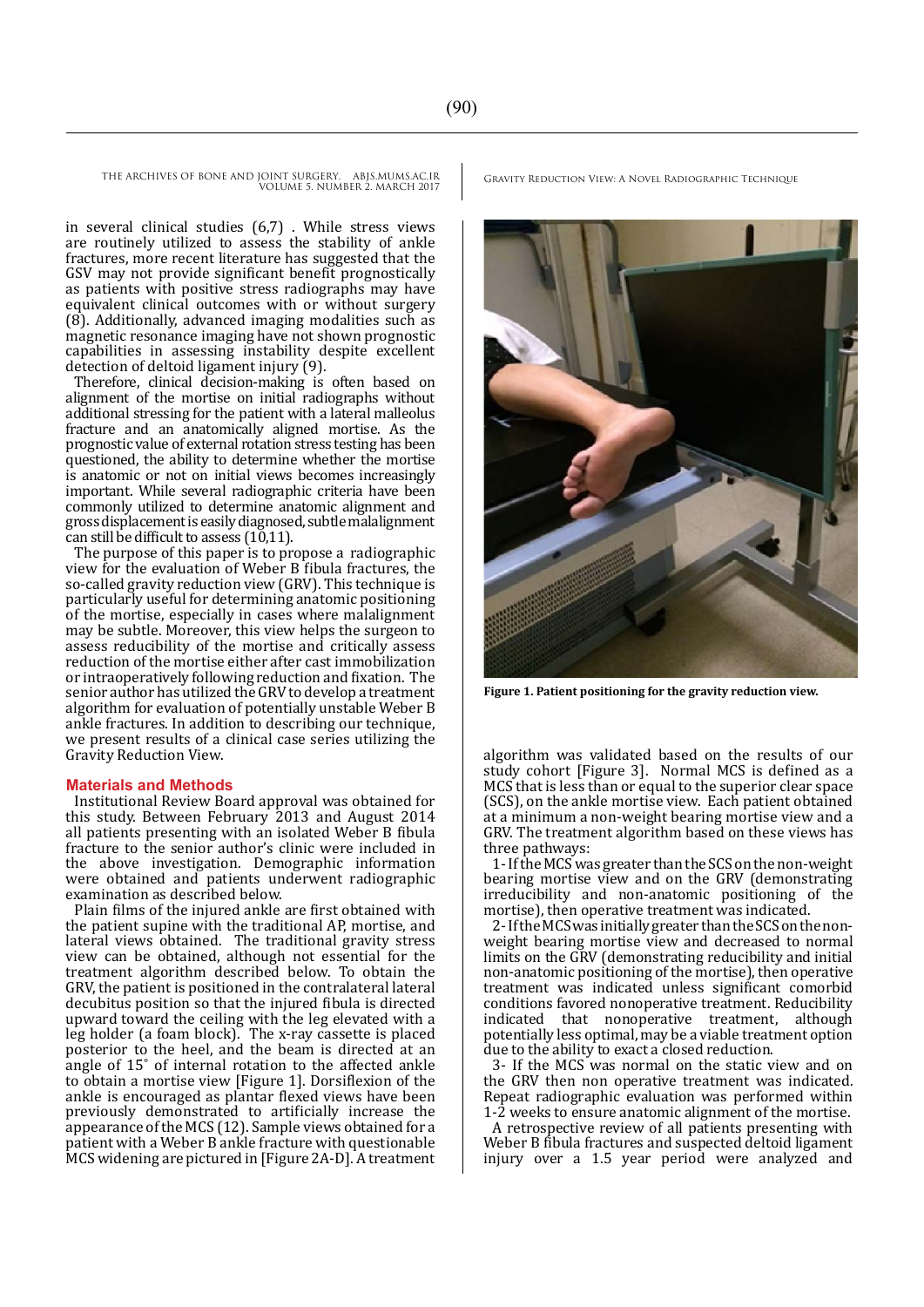in several clinical studies (6,7) . While stress views are routinely utilized to assess the stability of ankle fractures, more recent literature has suggested that the GSV may not provide significant benefit prognostically as patients with positive stress radiographs may have equivalent clinical outcomes with or without surgery (8). Additionally, advanced imaging modalities such as magnetic resonance imaging have not shown prognostic capabilities in assessing instability despite excellent detection of deltoid ligament injury (9).

Therefore, clinical decision-making is often based on alignment of the mortise on initial radiographs without additional stressing for the patient with a lateral malleolus fracture and an anatomically aligned mortise. As the prognostic value of external rotation stress testing has been questioned, the ability to determine whether the mortise is anatomic or not on initial views becomes increasingly important. While several radiographic criteria have been commonly utilized to determine anatomic alignment and gross displacement is easily diagnosed, subtle malalignment can still be difficult to assess (10,11).

The purpose of this paper is to propose a radiographic view for the evaluation of Weber B fibula fractures, the so-called gravity reduction view (GRV). This technique is particularly useful for determining anatomic positioning of the mortise, especially in cases where malalignment may be subtle. Moreover, this view helps the surgeon to assess reducibility of the mortise and critically assess reduction of the mortise either after cast immobilization or intraoperatively following reduction and fixation. The senior author has utilized the GRV to develop a treatment algorithm for evaluation of potentially unstable Weber B ankle fractures. In addition to describing our technique, we present results of a clinical case series utilizing the Gravity Reduction View.

#### **Materials and Methods**

Institutional Review Board approval was obtained for this study. Between February 2013 and August 2014 all patients presenting with an isolated Weber B fibula fracture to the senior author's clinic were included in the above investigation. Demographic information were obtained and patients underwent radiographic examination as described below.

Plain films of the injured ankle are first obtained with the patient supine with the traditional AP, mortise, and lateral views obtained. The traditional gravity stress view can be obtained, although not essential for the treatment algorithm described below. To obtain the GRV, the patient is positioned in the contralateral lateral decubitus position so that the injured fibula is directed upward toward the ceiling with the leg elevated with a leg holder (a foam block). The x-ray cassette is placed posterior to the heel, and the beam is directed at an angle of 15˚ of internal rotation to the affected ankle to obtain a mortise view [Figure 1]. Dorsiflexion of the ankle is encouraged as plantar flexed views have been previously demonstrated to artificially increase the appearance of the MCS (12). Sample views obtained for a patient with a Weber B ankle fracture with questionable MCS widening are pictured in [Figure 2A-D]. A treatment

**Figure 1. Patient positioning for the gravity reduction view.**

algorithm was validated based on the results of our study cohort [Figure 3]. Normal MCS is defined as a MCS that is less than or equal to the superior clear space (SCS), on the ankle mortise view. Each patient obtained at a minimum a non-weight bearing mortise view and a GRV. The treatment algorithm based on these views has three pathways:

1- If the MCS was greater than the SCS on the non-weight bearing mortise view and on the GRV (demonstrating irreducibility and non-anatomic positioning of the mortise), then operative treatment was indicated.

2- If the MCS was initially greater than the SCS on the nonweight bearing mortise view and decreased to normal limits on the GRV (demonstrating reducibility and initial non-anatomic positioning of the mortise), then operative treatment was indicated unless significant comorbid conditions favored nonoperative treatment. Reducibility indicated that nonoperative treatment, although potentially less optimal, may be a viable treatment option due to the ability to exact a closed reduction.

3- If the MCS was normal on the static view and on the GRV then non operative treatment was indicated. Repeat radiographic evaluation was performed within 1-2 weeks to ensure anatomic alignment of the mortise.

A retrospective review of all patients presenting with Weber B fibula fractures and suspected deltoid ligament injury over a 1.5 year period were analyzed and

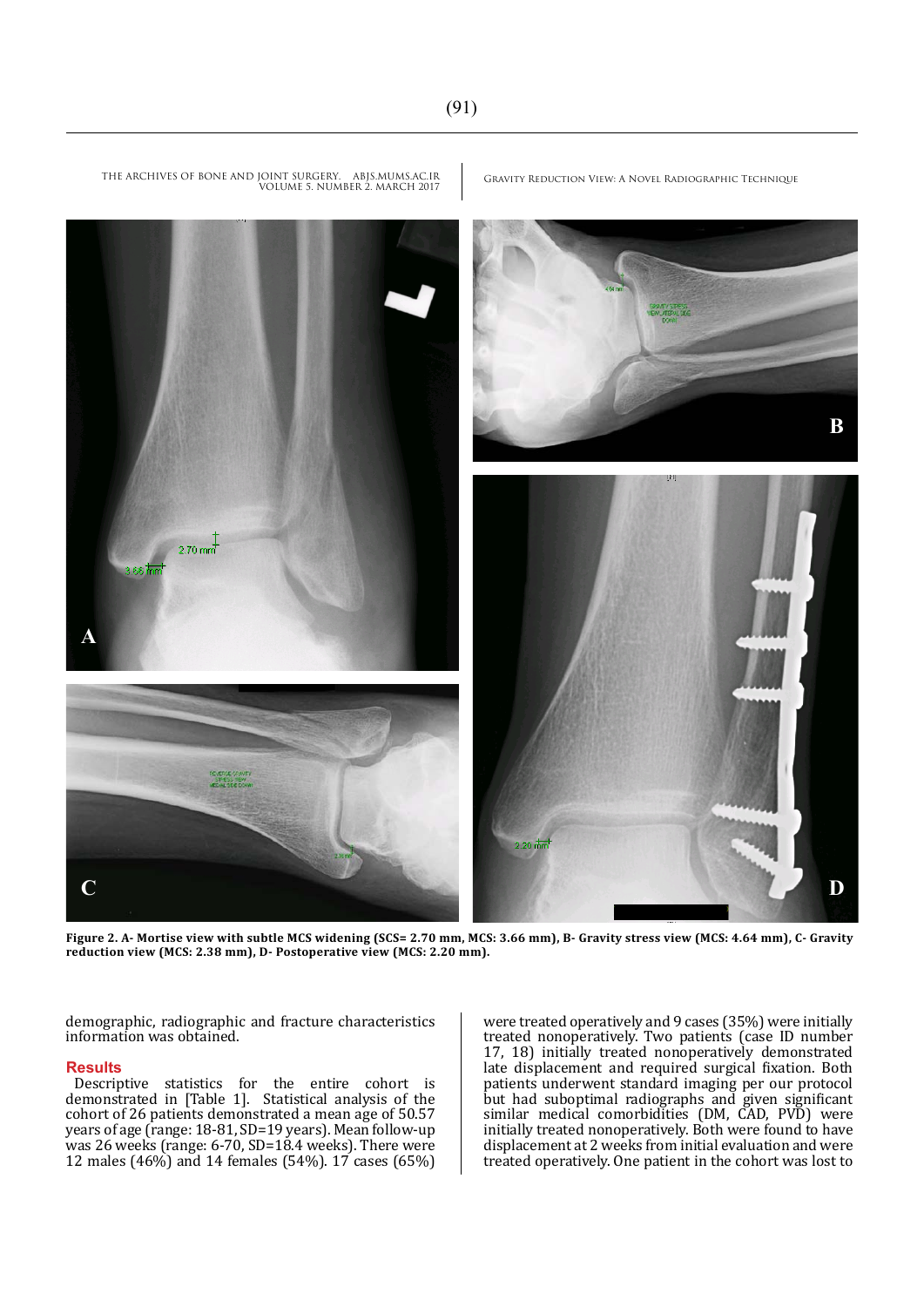

THE ARCHIVES OF BONE AND JOINT SURGERY. ABJS.MUMS.AC.IR VGRAVITY REDUCTION VIEW: A NOVEL RADIOGRAPHIC TECHNIQUE<br>VOLUME 5. NUMBER 2. MARCH 2017

**Figure 2. A- Mortise view with subtle MCS widening (SCS= 2.70 mm, MCS: 3.66 mm), B- Gravity stress view (MCS: 4.64 mm), C- Gravity reduction view (MCS: 2.38 mm), D- Postoperative view (MCS: 2.20 mm).**

demographic, radiographic and fracture characteristics information was obtained.

#### **Results**

Descriptive statistics for the entire cohort is demonstrated in [Table 1]. Statistical analysis of the cohort of 26 patients demonstrated a mean age of 50.57 years of age (range: 18-81, SD=19 years). Mean follow-up was 26 weeks (range: 6-70, SD=18.4 weeks). There were 12 males (46%) and 14 females (54%). 17 cases (65%)

were treated operatively and 9 cases (35%) were initially treated nonoperatively. Two patients (case ID number 17, 18) initially treated nonoperatively demonstrated late displacement and required surgical fixation. Both patients underwent standard imaging per our protocol but had suboptimal radiographs and given significant similar medical comorbidities (DM, CAD, PVD) were initially treated nonoperatively. Both were found to have displacement at 2 weeks from initial evaluation and were treated operatively. One patient in the cohort was lost to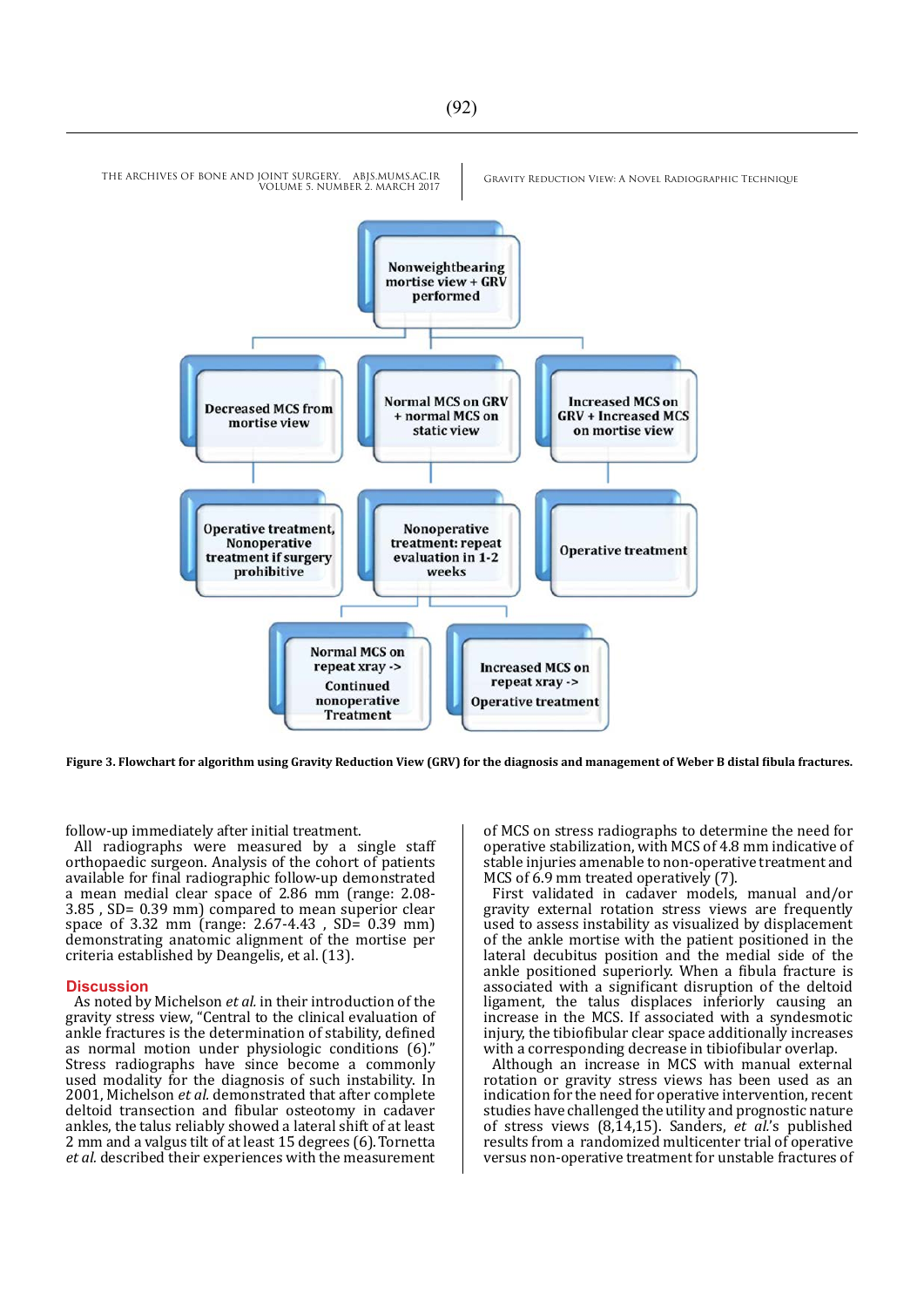

**Figure 3. Flowchart for algorithm using Gravity Reduction View (GRV) for the diagnosis and management of Weber B distal fibula fractures.**

follow-up immediately after initial treatment.

All radiographs were measured by a single staff orthopaedic surgeon. Analysis of the cohort of patients available for final radiographic follow-up demonstrated a mean medial clear space of 2.86 mm (range: 2.08- 3.85 , SD= 0.39 mm) compared to mean superior clear space of 3.32 mm (range: 2.67-4.43 , SD= 0.39 mm) demonstrating anatomic alignment of the mortise per criteria established by Deangelis, et al. (13).

#### **Discussion**

As noted by Michelson *et al.* in their introduction of the gravity stress view, "Central to the clinical evaluation of ankle fractures is the determination of stability, defined as normal motion under physiologic conditions (6)." Stress radiographs have since become a commonly used modality for the diagnosis of such instability. In 2001, Michelson *et al.* demonstrated that after complete deltoid transection and fibular osteotomy in cadaver ankles, the talus reliably showed a lateral shift of at least 2 mm and a valgus tilt of at least 15 degrees (6).Tornetta *et al.* described their experiences with the measurement of MCS on stress radiographs to determine the need for operative stabilization, with MCS of 4.8 mm indicative of stable injuries amenable to non-operative treatment and MCS of 6.9 mm treated operatively (7).

First validated in cadaver models, manual and/or gravity external rotation stress views are frequently used to assess instability as visualized by displacement of the ankle mortise with the patient positioned in the lateral decubitus position and the medial side of the ankle positioned superiorly. When a fibula fracture is associated with a significant disruption of the deltoid ligament, the talus displaces inferiorly causing an increase in the MCS. If associated with a syndesmotic injury, the tibiofibular clear space additionally increases with a corresponding decrease in tibiofibular overlap.

Although an increase in MCS with manual external rotation or gravity stress views has been used as an indication for the need for operative intervention, recent studies have challenged the utility and prognostic nature of stress views (8,14,15). Sanders, *et al.*'s published results from a randomized multicenter trial of operative versus non-operative treatment for unstable fractures of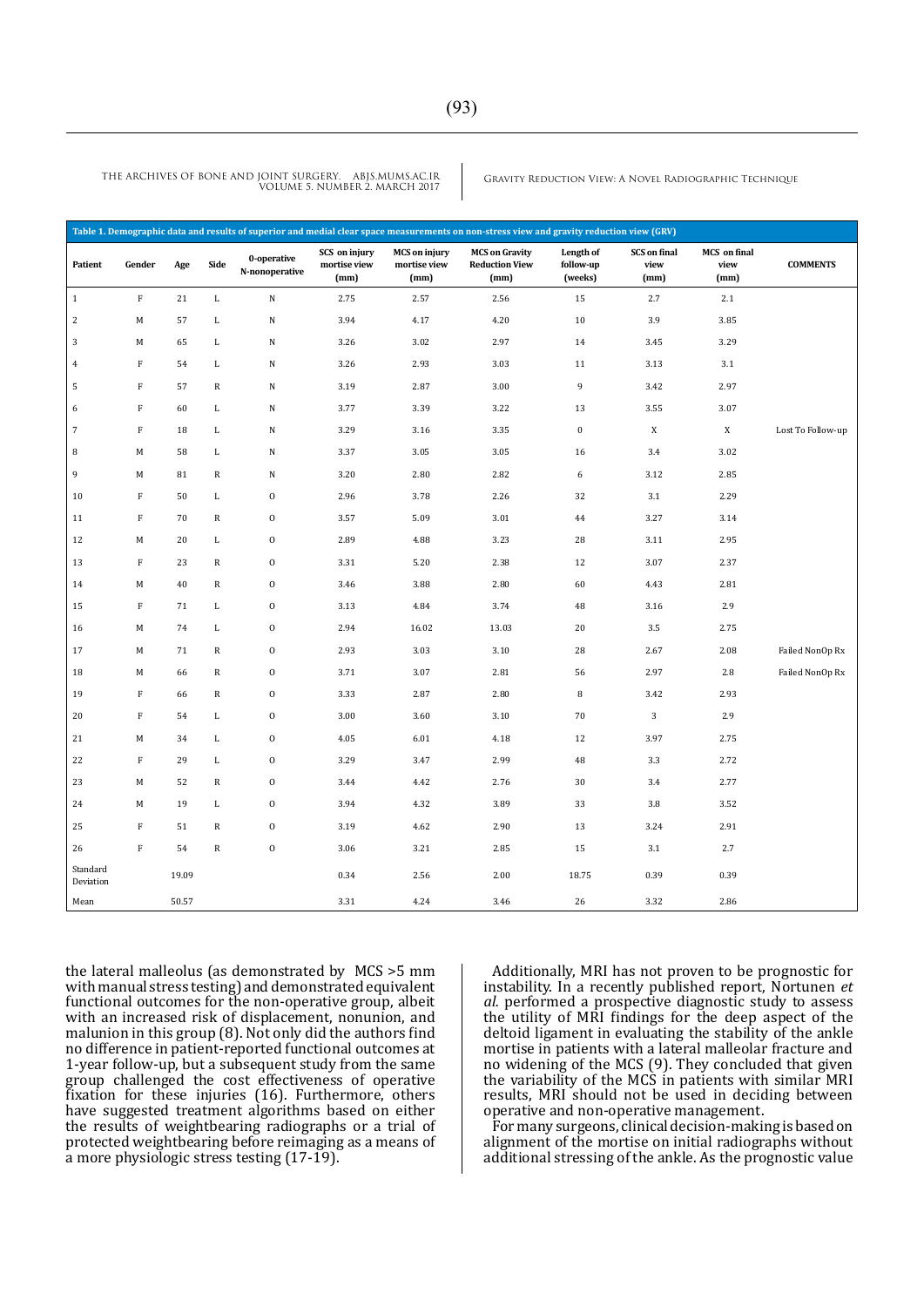| Table 1. Demographic data and results of superior and medial clear space measurements on non-stress view and gravity reduction view (GRV) |              |       |              |                               |                                       |                                              |                                                        |                                   |                                     |                                     |                   |
|-------------------------------------------------------------------------------------------------------------------------------------------|--------------|-------|--------------|-------------------------------|---------------------------------------|----------------------------------------------|--------------------------------------------------------|-----------------------------------|-------------------------------------|-------------------------------------|-------------------|
| Patient                                                                                                                                   | Gender       | Age   | Side         | 0-operative<br>N-nonoperative | SCS on injury<br>mortise view<br>(mm) | <b>MCS</b> on injury<br>mortise view<br>(mm) | <b>MCS on Gravity</b><br><b>Reduction View</b><br>(mm) | Length of<br>follow-up<br>(weeks) | <b>SCS</b> on final<br>view<br>(mm) | <b>MCS</b> on final<br>view<br>(mm) | <b>COMMENTS</b>   |
| $\mathbf{1}$                                                                                                                              | $\rm F$      | 21    | $\mathbf L$  | ${\bf N}$                     | 2.75                                  | 2.57                                         | 2.56                                                   | 15                                | 2.7                                 | 2.1                                 |                   |
| $\overline{2}$                                                                                                                            | M            | 57    | $\mathbf{L}$ | ${\bf N}$                     | 3.94                                  | 4.17                                         | 4.20                                                   | 10                                | 3.9                                 | 3.85                                |                   |
| $\overline{3}$                                                                                                                            | M            | 65    | L            | ${\bf N}$                     | 3.26                                  | 3.02                                         | 2.97                                                   | 14                                | 3.45                                | 3.29                                |                   |
| $\overline{4}$                                                                                                                            | F            | 54    | L            | ${\bf N}$                     | 3.26                                  | 2.93                                         | 3.03                                                   | 11                                | 3.13                                | 3.1                                 |                   |
| 5                                                                                                                                         | $\mathbb F$  | 57    | $\mathbb{R}$ | ${\bf N}$                     | 3.19                                  | 2.87                                         | 3.00                                                   | 9                                 | 3.42                                | 2.97                                |                   |
| 6                                                                                                                                         | $\mathbb F$  | 60    | L            | ${\bf N}$                     | 3.77                                  | 3.39                                         | 3.22                                                   | 13                                | 3.55                                | 3.07                                |                   |
| $\overline{7}$                                                                                                                            | $\rm F$      | 18    | $\mathbf{L}$ | ${\bf N}$                     | 3.29                                  | 3.16                                         | 3.35                                                   | $\bf{0}$                          | $\mathbf X$                         | $\mathbf X$                         | Lost To Follow-up |
| 8                                                                                                                                         | М            | 58    | L            | ${\bf N}$                     | 3.37                                  | 3.05                                         | 3.05                                                   | 16                                | 3.4                                 | 3.02                                |                   |
| 9                                                                                                                                         | M            | 81    | ${\bf R}$    | ${\bf N}$                     | 3.20                                  | 2.80                                         | 2.82                                                   | 6                                 | 3.12                                | 2.85                                |                   |
| 10                                                                                                                                        | F            | 50    | L            | $\mathbf 0$                   | 2.96                                  | 3.78                                         | 2.26                                                   | 32                                | 3.1                                 | 2.29                                |                   |
| 11                                                                                                                                        | F            | 70    | $\mathbb{R}$ | $\mathbf 0$                   | 3.57                                  | 5.09                                         | 3.01                                                   | 44                                | 3.27                                | 3.14                                |                   |
| 12                                                                                                                                        | M            | 20    | $\mathbf{L}$ | $\mathbf 0$                   | 2.89                                  | 4.88                                         | 3.23                                                   | 28                                | 3.11                                | 2.95                                |                   |
| 13                                                                                                                                        | F            | 23    | $\mathbb{R}$ | $\mathbf 0$                   | 3.31                                  | 5.20                                         | 2.38                                                   | 12                                | 3.07                                | 2.37                                |                   |
| 14                                                                                                                                        | M            | 40    | ${\bf R}$    | $\mathbf 0$                   | 3.46                                  | 3.88                                         | 2.80                                                   | 60                                | 4.43                                | 2.81                                |                   |
| 15                                                                                                                                        | $\mathbb F$  | 71    | $\mathbf{L}$ | $\mathbf 0$                   | 3.13                                  | 4.84                                         | 3.74                                                   | 48                                | 3.16                                | 2.9                                 |                   |
| 16                                                                                                                                        | M            | 74    | L            | $\boldsymbol{0}$              | 2.94                                  | 16.02                                        | 13.03                                                  | $20\,$                            | $3.5\,$                             | 2.75                                |                   |
| 17                                                                                                                                        | M            | 71    | $\mathbb R$  | $\boldsymbol{0}$              | 2.93                                  | 3.03                                         | 3.10                                                   | 28                                | 2.67                                | 2.08                                | Failed NonOp Rx   |
| 18                                                                                                                                        | М            | 66    | $\mathbb R$  | $\mathbf 0$                   | 3.71                                  | 3.07                                         | 2.81                                                   | 56                                | 2.97                                | 2.8                                 | Failed NonOp Rx   |
| 19                                                                                                                                        | $\rm F$      | 66    | $\mathbb R$  | $\boldsymbol{0}$              | 3.33                                  | 2.87                                         | 2.80                                                   | $\, 8$                            | 3.42                                | 2.93                                |                   |
| 20                                                                                                                                        | $\mathbf{F}$ | 54    | L            | $\boldsymbol{0}$              | 3.00                                  | 3.60                                         | 3.10                                                   | 70                                | $\sqrt{3}$                          | 2.9                                 |                   |
| 21                                                                                                                                        | M            | 34    | L            | $\mathbf 0$                   | 4.05                                  | 6.01                                         | 4.18                                                   | 12                                | 3.97                                | 2.75                                |                   |
| 22                                                                                                                                        | $\mathbf F$  | 29    | $\mathbf{L}$ | $\mathbf 0$                   | 3.29                                  | 3.47                                         | 2.99                                                   | 48                                | 3.3                                 | 2.72                                |                   |
| 23                                                                                                                                        | M            | 52    | $\mathbb R$  | $\mathbf 0$                   | 3.44                                  | 4.42                                         | 2.76                                                   | 30                                | 3.4                                 | 2.77                                |                   |
| 24                                                                                                                                        | М            | 19    | L            | $\mathbf 0$                   | 3.94                                  | 4.32                                         | 3.89                                                   | 33                                | 3.8                                 | 3.52                                |                   |
| 25                                                                                                                                        | F            | 51    | $\mathbb R$  | $\mathbf 0$                   | 3.19                                  | 4.62                                         | 2.90                                                   | 13                                | 3.24                                | 2.91                                |                   |
| 26                                                                                                                                        | $\rm F$      | 54    | $\mathbb R$  | $\boldsymbol{0}$              | 3.06                                  | 3.21                                         | 2.85                                                   | 15                                | 3.1                                 | 2.7                                 |                   |
| Standard<br>Deviation                                                                                                                     |              | 19.09 |              |                               | 0.34                                  | 2.56                                         | 2.00                                                   | 18.75                             | 0.39                                | 0.39                                |                   |
| Mean                                                                                                                                      |              | 50.57 |              |                               | 3.31                                  | 4.24                                         | 3.46                                                   | 26                                | 3.32                                | 2.86                                |                   |

the lateral malleolus (as demonstrated by MCS >5 mm with manual stress testing) and demonstrated equivalent functional outcomes for the non-operative group, albeit with an increased risk of displacement, nonunion, and malunion in this group (8). Not only did the authors find no difference in patient-reported functional outcomes at 1-year follow-up, but a subsequent study from the same group challenged the cost effectiveness of operative fixation for these injuries (16). Furthermore, others have suggested treatment algorithms based on either the results of weightbearing radiographs or a trial of protected weightbearing before reimaging as a means of a more physiologic stress testing (17-19).

Additionally, MRI has not proven to be prognostic for instability. In a recently published report, Nortunen *et al.* performed a prospective diagnostic study to assess the utility of MRI findings for the deep aspect of the deltoid ligament in evaluating the stability of the ankle mortise in patients with a lateral malleolar fracture and no widening of the MCS (9). They concluded that given the variability of the MCS in patients with similar MRI results, MRI should not be used in deciding between operative and non-operative management.

For many surgeons, clinical decision-making is based on alignment of the mortise on initial radiographs without additional stressing of the ankle. As the prognostic value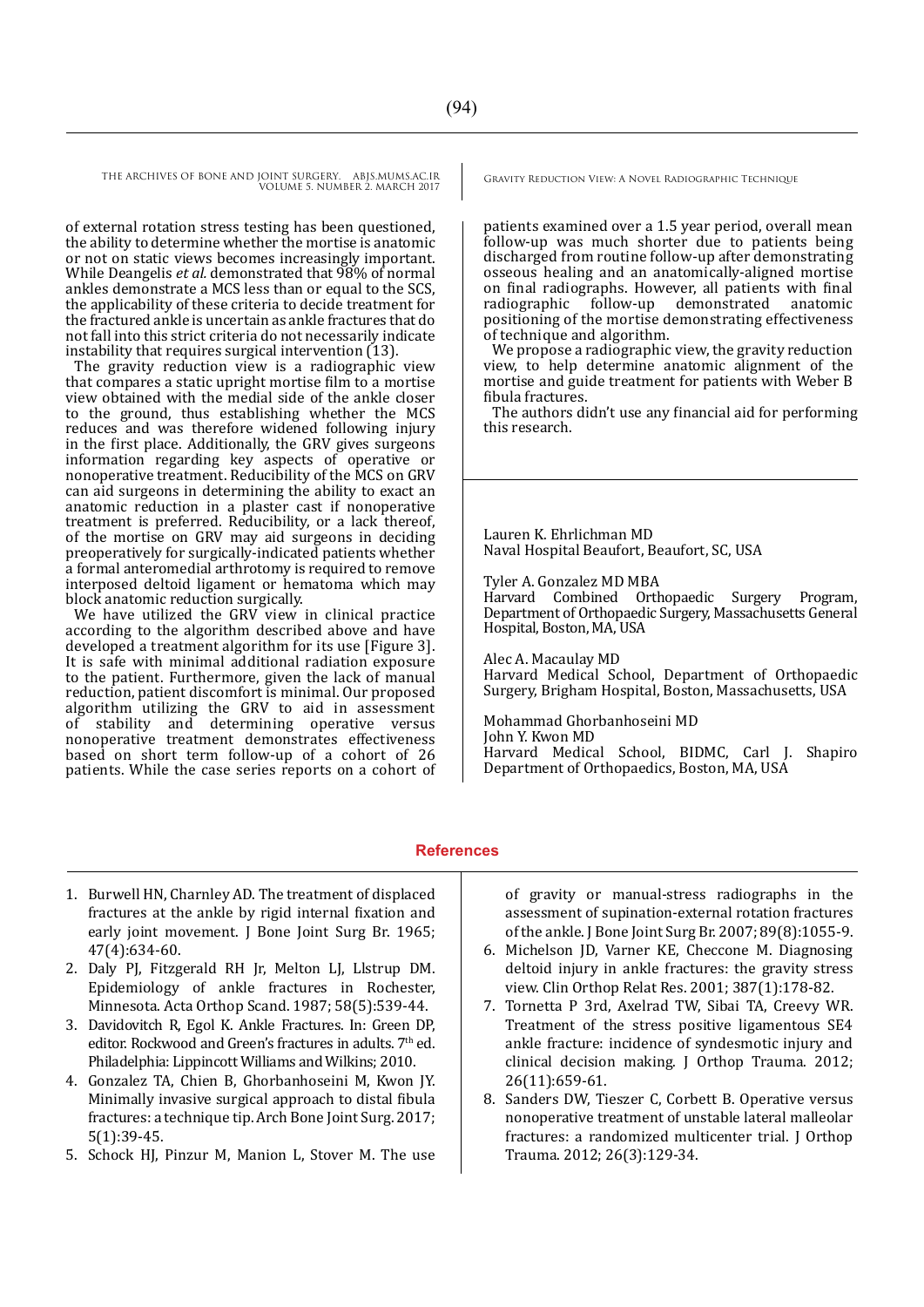of external rotation stress testing has been questioned, the ability to determine whether the mortise is anatomic or not on static views becomes increasingly important. While Deangelis *et al.* demonstrated that 98% of normal ankles demonstrate a MCS less than or equal to the SCS, the applicability of these criteria to decide treatment for the fractured ankle is uncertain as ankle fractures that do not fall into this strict criteria do not necessarily indicate instability that requires surgical intervention (13).

The gravity reduction view is a radiographic view that compares a static upright mortise film to a mortise view obtained with the medial side of the ankle closer to the ground, thus establishing whether the MCS reduces and was therefore widened following injury in the first place. Additionally, the GRV gives surgeons information regarding key aspects of operative or nonoperative treatment. Reducibility of the MCS on GRV can aid surgeons in determining the ability to exact an anatomic reduction in a plaster cast if nonoperative treatment is preferred. Reducibility, or a lack thereof, of the mortise on GRV may aid surgeons in deciding preoperatively for surgically-indicated patients whether a formal anteromedial arthrotomy is required to remove interposed deltoid ligament or hematoma which may block anatomic reduction surgically.

We have utilized the GRV view in clinical practice according to the algorithm described above and have developed a treatment algorithm for its use [Figure 3]. It is safe with minimal additional radiation exposure to the patient. Furthermore, given the lack of manual reduction, patient discomfort is minimal. Our proposed algorithm utilizing the GRV to aid in assessment stability and determining operative versus nonoperative treatment demonstrates effectiveness based on short term follow-up of a cohort of 26 patients. While the case series reports on a cohort of

patients examined over a 1.5 year period, overall mean follow-up was much shorter due to patients being discharged from routine follow-up after demonstrating osseous healing and an anatomically-aligned mortise on final radiographs. However, all patients with final radiographic follow-up demonstrated anatomic positioning of the mortise demonstrating effectiveness of technique and algorithm.

We propose a radiographic view, the gravity reduction view, to help determine anatomic alignment of the mortise and guide treatment for patients with Weber B fibula fractures.

The authors didn't use any financial aid for performing this research.

Lauren K. Ehrlichman MD Naval Hospital Beaufort, Beaufort, SC, USA

Tyler A. Gonzalez MD MBA

Harvard Combined Orthopaedic Surgery Program, Department of Orthopaedic Surgery, Massachusetts General Hospital, Boston, MA, USA

Alec A. Macaulay MD Harvard Medical School, Department of Orthopaedic Surgery, Brigham Hospital, Boston, Massachusetts, USA

Mohammad Ghorbanhoseini MD John Y. Kwon MD Harvard Medical School, BIDMC, Carl J. Shapiro Department of Orthopaedics, Boston, MA, USA

#### **References**

- 1. Burwell HN, Charnley AD. The treatment of displaced fractures at the ankle by rigid internal fixation and early joint movement. J Bone Joint Surg Br. 1965; 47(4):634-60.
- 2. Daly PJ, Fitzgerald RH Jr, Melton LJ, Llstrup DM. Epidemiology of ankle fractures in Rochester, Minnesota. Acta Orthop Scand. 1987; 58(5):539-44.
- 3. Davidovitch R, Egol K. Ankle Fractures. In: Green DP, editor. Rockwood and Green's fractures in adults. 7<sup>th</sup> ed. Philadelphia: Lippincott Williams and Wilkins; 2010.
- 4. Gonzalez TA, Chien B, Ghorbanhoseini M, Kwon JY. Minimally invasive surgical approach to distal fibula fractures: a technique tip. Arch Bone Joint Surg. 2017; 5(1):39-45.
- 5. Schock HJ, Pinzur M, Manion L, Stover M. The use

of gravity or manual-stress radiographs in the assessment of supination-external rotation fractures of the ankle. J Bone Joint Surg Br. 2007; 89(8):1055-9.

- 6. Michelson JD, Varner KE, Checcone M. Diagnosing deltoid injury in ankle fractures: the gravity stress view. Clin Orthop Relat Res. 2001; 387(1):178-82.
- 7. Tornetta P 3rd, Axelrad TW, Sibai TA, Creevy WR. Treatment of the stress positive ligamentous SE4 ankle fracture: incidence of syndesmotic injury and clinical decision making. J Orthop Trauma. 2012; 26(11):659-61.
- 8. Sanders DW, Tieszer C, Corbett B. Operative versus nonoperative treatment of unstable lateral malleolar fractures: a randomized multicenter trial. J Orthop Trauma. 2012; 26(3):129-34.